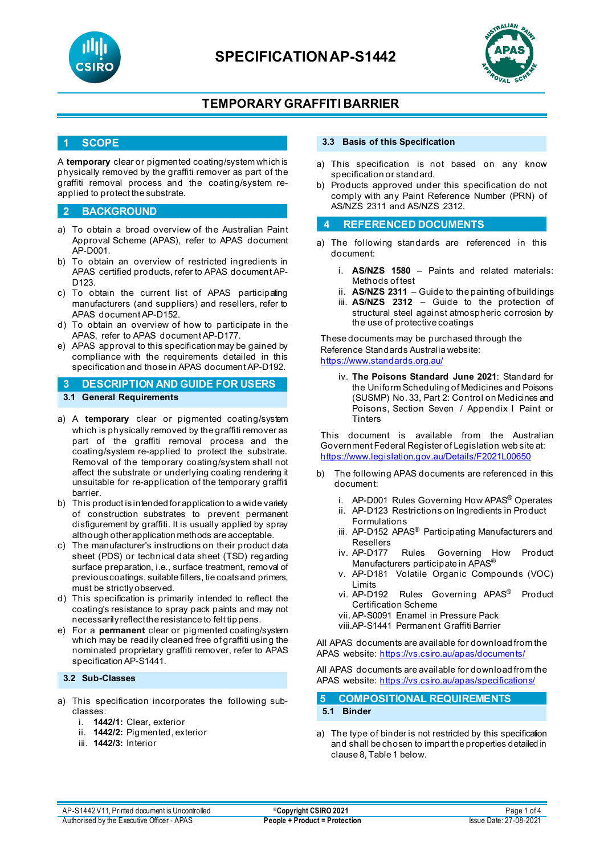



## **TEMPORARY GRAFFITI BARRIER**

## **1 SCOPE**

A **temporary** clear or pigmented coating/system which is physically removed by the graffiti remover as part of the graffiti removal process and the coating/system reapplied to protect the substrate.

### **2 BACKGROUND**

- a) To obtain a broad overview of the Australian Paint Approval Scheme (APAS), refer to APAS document AP-D001.
- b) To obtain an overview of restricted ingredients in APAS certified products, refer to APAS document AP-D<sub>123</sub>
- c) To obtain the current list of APAS participating manufacturers (and suppliers) and resellers, refer to APAS document AP-D152.
- d) To obtain an overview of how to participate in the APAS, refer to APAS document AP-D177.
- e) APAS approval to this specification may be gained by compliance with the requirements detailed in this specification and those in APAS document AP-D192.
- **3 DESCRIPTION AND GUIDE FOR USERS 3.1 General Requirements**
- a) A **temporary** clear or pigmented coating/system which is physically removed by the graffiti remover as part of the graffiti removal process and the coating/system re-applied to protect the substrate. Removal of the temporary coating/system shall not affect the substrate or underlying coating rendering it unsuitable for re-application of the temporary graffiti barrier.
- b) This product is intended for application to a wide variety of construction substrates to prevent permanent disfigurement by graffiti. It is usually applied by spray although other application methods are acceptable.
- c) The manufacturer's instructions on their product data sheet (PDS) or technical data sheet (TSD) regarding surface preparation, i.e., surface treatment, removal of previous coatings, suitable fillers, tie coats and primers, must be strictly observed.
- d) This specification is primarily intended to reflect the coating's resistance to spray pack paints and may not necessarily reflect the resistance to felt tip pens.
- e) For a **permanent** clear or pigmented coating/system which may be readily cleaned free of graffiti using the nominated proprietary graffiti remover, refer to APAS specification AP-S1441.

#### **3.2 Sub-Classes**

- a) This specification incorporates the following subclasses:
	- i. **1442/1:** Clear, exterior
	- ii. **1442/2:** Pigmented, exterior
	- iii. **1442/3:** Interior

#### **3.3 Basis of this Specification**

- a) This specification is not based on any know specification or standard.
- b) Products approved under this specification do not comply with any Paint Reference Number (PRN) of AS/NZS 2311 and AS/NZS 2312.

#### **4 REFERENCED DOCUMENTS**

- a) The following standards are referenced in this document:
	- i. **AS/NZS 1580** Paints and related materials: Methods of test
	- ii. **AS/NZS 2311**  Guide to the painting of buildings
	- iii. **AS/NZS 2312**  Guide to the protection of structural steel against atmospheric corrosion by the use of protective coatings

These documents may be purchased through the Reference Standards Australia website: <https://www.standards.org.au/>

iv. **The Poisons Standard June 2021**: Standard for the Uniform Scheduling of Medicines and Poisons (SUSMP) No. 33, Part 2: Control on Medicines and Poisons, Section Seven / Appendix I Paint or **Tinters** 

This document is available from the Australian Government Federal Register of Legislation web site at: <https://www.legislation.gov.au/Details/F2021L00650>

- b) The following APAS documents are referenced in this document:
	- i. AP-D001 Rules Governing How APAS<sup>®</sup> Operates
	- ii. AP-D123 Restrictions on Ingredients in Product Formulations
	- iii. AP-D152 APAS<sup>®</sup> Participating Manufacturers and Resellers<br>iv. AP-D177
	- Rules Governing How Product Manufacturers participate in APAS®
	- v. AP-D181 Volatile Organic Compounds (VOC) Limits
	- vi. AP-D192 Rules Governing APAS® Product Certification Scheme
	- vii. AP-S0091 Enamel in Pressure Pack
	- viii.AP-S1441 Permanent Graffiti Barrier

All APAS documents are available for download from the APAS website: <https://vs.csiro.au/apas/documents/>

All APAS documents are available for download from the APAS website: <https://vs.csiro.au/apas/specifications/>

| 5 COMPOSITIONAL REQUIREMENTS |
|------------------------------|
| 5.1 Binder                   |

a) The type of binder is not restricted by this specification and shall be chosen to impart the properties detailed in clause 8, Table 1 below.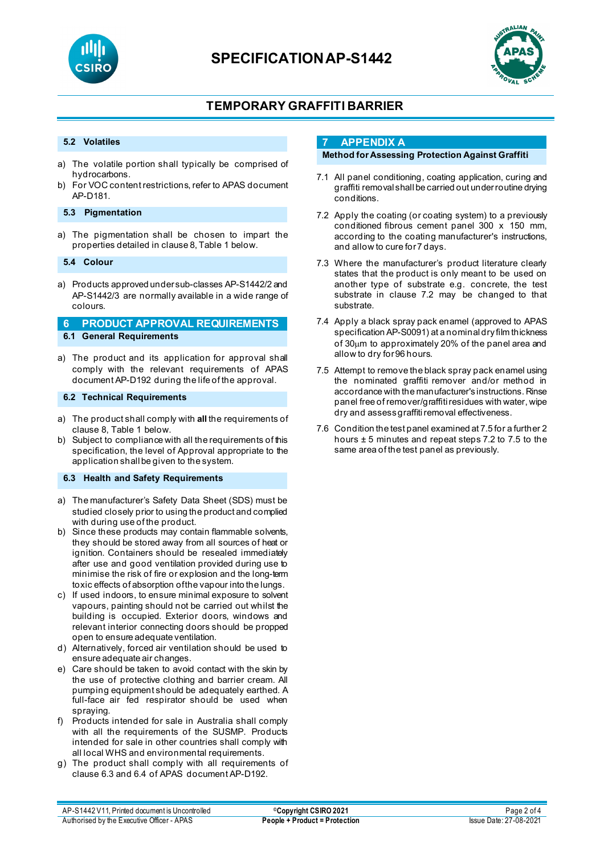



# **TEMPORARY GRAFFITI BARRIER**

#### **5.2 Volatiles**

- a) The volatile portion shall typically be comprised of hydrocarbons.
- b) For VOC content restrictions, refer to APAS document AP-D181.

#### **5.3 Pigmentation**

a) The pigmentation shall be chosen to impart the properties detailed in clause 8, Table 1 below.

#### **5.4 Colour**

a) Products approved under sub-classes AP-S1442/2 and AP-S1442/3 are normally available in a wide range of colours.

### **6 PRODUCT APPROVAL REQUIREMENTS 6.1 General Requirements**

a) The product and its application for approval shall comply with the relevant requirements of APAS document AP-D192 during the life of the approval.

#### **6.2 Technical Requirements**

- a) The product shall comply with **all** the requirements of clause 8, Table 1 below.
- b) Subject to compliance with all the requirements of this specification, the level of Approval appropriate to the application shall be given to the system.

### **6.3 Health and Safety Requirements**

- a) The manufacturer's Safety Data Sheet (SDS) must be studied closely prior to using the product and complied with during use of the product.
- b) Since these products may contain flammable solvents, they should be stored away from all sources of heat or ignition. Containers should be resealed immediately after use and good ventilation provided during use to minimise the risk of fire or explosion and the long-term toxic effects of absorption of the vapour into the lungs.
- c) If used indoors, to ensure minimal exposure to solvent vapours, painting should not be carried out whilst the building is occupied. Exterior doors, windows and relevant interior connecting doors should be propped open to ensure adequate ventilation.
- d) Alternatively, forced air ventilation should be used to ensure adequate air changes.
- e) Care should be taken to avoid contact with the skin by the use of protective clothing and barrier cream. All pumping equipment should be adequately earthed. A full-face air fed respirator should be used when spraying.
- f) Products intended for sale in Australia shall comply with all the requirements of the SUSMP. Products intended for sale in other countries shall comply with all local WHS and environmental requirements.
- g) The product shall comply with all requirements of clause 6.3 and 6.4 of APAS document AP-D192.

### **7 APPENDIX A**

### **Method for Assessing Protection Against Graffiti**

- 7.1 All panel conditioning, coating application, curing and graffiti removal shall be carried out under routine drying conditions.
- 7.2 Apply the coating (or coating system) to a previously conditioned fibrous cement panel 300 x 150 mm, according to the coating manufacturer's instructions, and allow to cure for 7 days.
- 7.3 Where the manufacturer's product literature clearly states that the product is only meant to be used on another type of substrate e.g. concrete, the test substrate in clause 7.2 may be changed to that substrate.
- 7.4 Apply a black spray pack enamel (approved to APAS specification AP-S0091) at a nominal dry film thickness of 30µm to approximately 20% of the panel area and allow to dry for 96 hours.
- 7.5 Attempt to remove the black spray pack enamel using the nominated graffiti remover and/or method in accordance with the manufacturer's instructions. Rinse panel free of remover/graffiti residues with water, wipe dry and assess graffiti removal effectiveness.
- 7.6 Condition the test panel examined at 7.5 for a further 2 hours ± 5 minutes and repeat steps 7.2 to 7.5 to the same area of the test panel as previously.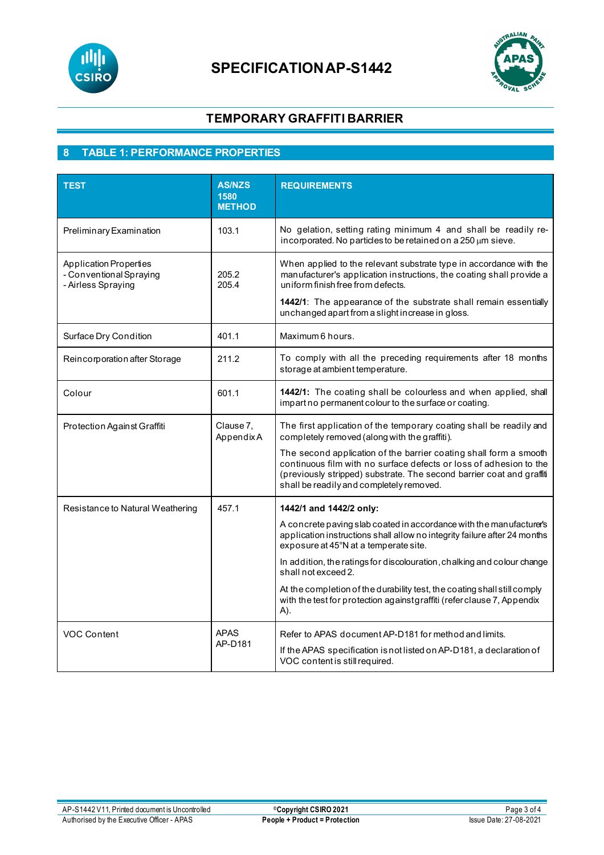



# **TEMPORARY GRAFFITI BARRIER**

# **8 TABLE 1: PERFORMANCE PROPERTIES**

| <b>TEST</b>                                                                    | <b>AS/NZS</b><br>1580<br><b>METHOD</b> | <b>REQUIREMENTS</b>                                                                                                                                                                                                                                                                                     |
|--------------------------------------------------------------------------------|----------------------------------------|---------------------------------------------------------------------------------------------------------------------------------------------------------------------------------------------------------------------------------------------------------------------------------------------------------|
| Preliminary Examination                                                        | 103.1                                  | No gelation, setting rating minimum 4 and shall be readily re-<br>incorporated. No particles to be retained on a $250 \,\mu m$ sieve.                                                                                                                                                                   |
| <b>Application Properties</b><br>- Conventional Spraying<br>- Airless Spraying | 205.2<br>205.4                         | When applied to the relevant substrate type in accordance with the<br>manufacturer's application instructions, the coating shall provide a<br>uniform finish free from defects.<br>1442/1: The appearance of the substrate shall remain essentially<br>unchanged apart from a slight increase in gloss. |
| Surface Dry Condition                                                          | 401.1                                  | Maximum 6 hours.                                                                                                                                                                                                                                                                                        |
| Reincorporation after Storage                                                  | 211.2                                  | To comply with all the preceding requirements after 18 months<br>storage at ambient temperature.                                                                                                                                                                                                        |
| Colour                                                                         | 601.1                                  | 1442/1: The coating shall be colourless and when applied, shall<br>impart no permanent colour to the surface or coating.                                                                                                                                                                                |
| Protection Against Graffiti                                                    | Clause 7,<br>AppendixA                 | The first application of the temporary coating shall be readily and<br>completely removed (along with the graffiti).                                                                                                                                                                                    |
|                                                                                |                                        | The second application of the barrier coating shall form a smooth<br>continuous film with no surface defects or loss of adhesion to the<br>(previously stripped) substrate. The second barrier coat and graffit<br>shall be readily and completely removed.                                             |
| Resistance to Natural Weathering                                               | 457.1                                  | 1442/1 and 1442/2 only:                                                                                                                                                                                                                                                                                 |
|                                                                                |                                        | A concrete paving slab coated in accordance with the manufacturer's<br>application instructions shall allow no integrity failure after 24 months<br>exposure at 45°N at a temperate site.                                                                                                               |
|                                                                                |                                        | In addition, the ratings for discolouration, chalking and colour change<br>shall not exceed 2.                                                                                                                                                                                                          |
|                                                                                |                                        | At the completion of the durability test, the coating shall still comply<br>with the test for protection against graffiti (refer clause 7, Appendix<br>A).                                                                                                                                              |
| <b>VOC Content</b>                                                             | <b>APAS</b>                            | Refer to APAS document AP-D181 for method and limits.                                                                                                                                                                                                                                                   |
|                                                                                | AP-D181                                | If the APAS specification is not listed on AP-D181, a declaration of<br>VOC content is still required.                                                                                                                                                                                                  |